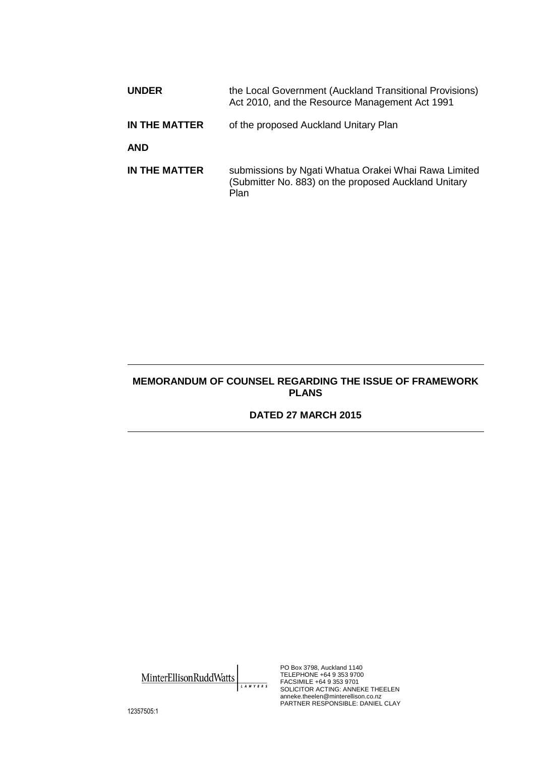| <b>UNDER</b>  | the Local Government (Auckland Transitional Provisions)<br>Act 2010, and the Resource Management Act 1991            |
|---------------|----------------------------------------------------------------------------------------------------------------------|
| IN THE MATTER | of the proposed Auckland Unitary Plan                                                                                |
| <b>AND</b>    |                                                                                                                      |
| IN THE MATTER | submissions by Ngati Whatua Orakei Whai Rawa Limited<br>(Submitter No. 883) on the proposed Auckland Unitary<br>Plan |

## **MEMORANDUM OF COUNSEL REGARDING THE ISSUE OF FRAMEWORK PLANS**

## **DATED 27 MARCH 2015**

MinterEllisonRuddWatts LAWYERS

PO Box 3798, Auckland 1140 TELEPHONE +64 9 353 9700 FACSIMILE +64 9 353 9701 SOLICITOR ACTING: ANNEKE THEELEN anneke.theelen@minterellison.co.nz PARTNER RESPONSIBLE: DANIEL CLAY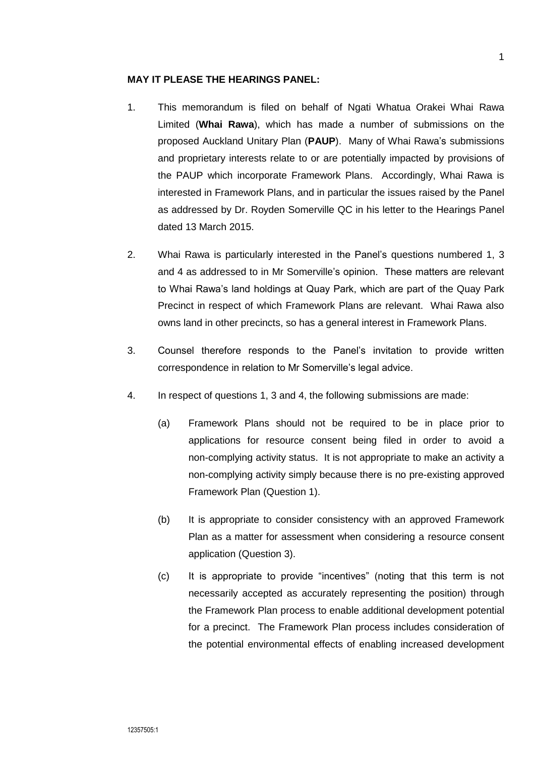## **MAY IT PLEASE THE HEARINGS PANEL:**

- 1. This memorandum is filed on behalf of Ngati Whatua Orakei Whai Rawa Limited (**Whai Rawa**), which has made a number of submissions on the proposed Auckland Unitary Plan (**PAUP**). Many of Whai Rawa's submissions and proprietary interests relate to or are potentially impacted by provisions of the PAUP which incorporate Framework Plans. Accordingly, Whai Rawa is interested in Framework Plans, and in particular the issues raised by the Panel as addressed by Dr. Royden Somerville QC in his letter to the Hearings Panel dated 13 March 2015.
- 2. Whai Rawa is particularly interested in the Panel's questions numbered 1, 3 and 4 as addressed to in Mr Somerville's opinion. These matters are relevant to Whai Rawa's land holdings at Quay Park, which are part of the Quay Park Precinct in respect of which Framework Plans are relevant. Whai Rawa also owns land in other precincts, so has a general interest in Framework Plans.
- 3. Counsel therefore responds to the Panel's invitation to provide written correspondence in relation to Mr Somerville's legal advice.
- 4. In respect of questions 1, 3 and 4, the following submissions are made:
	- (a) Framework Plans should not be required to be in place prior to applications for resource consent being filed in order to avoid a non-complying activity status. It is not appropriate to make an activity a non-complying activity simply because there is no pre-existing approved Framework Plan (Question 1).
	- (b) It is appropriate to consider consistency with an approved Framework Plan as a matter for assessment when considering a resource consent application (Question 3).
	- (c) It is appropriate to provide "incentives" (noting that this term is not necessarily accepted as accurately representing the position) through the Framework Plan process to enable additional development potential for a precinct. The Framework Plan process includes consideration of the potential environmental effects of enabling increased development